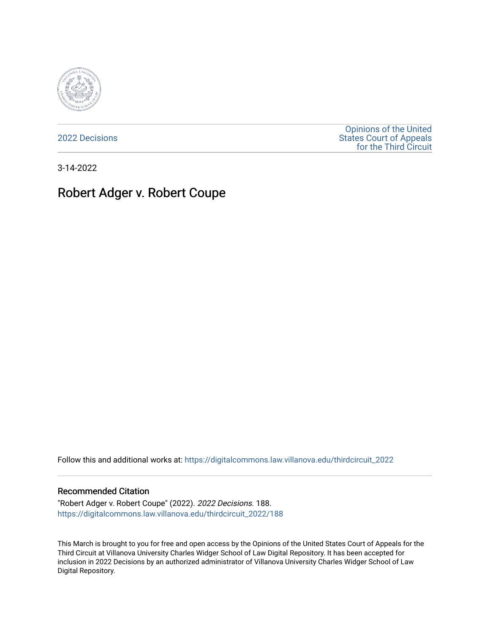

[2022 Decisions](https://digitalcommons.law.villanova.edu/thirdcircuit_2022)

[Opinions of the United](https://digitalcommons.law.villanova.edu/thirdcircuit)  [States Court of Appeals](https://digitalcommons.law.villanova.edu/thirdcircuit)  [for the Third Circuit](https://digitalcommons.law.villanova.edu/thirdcircuit) 

3-14-2022

# Robert Adger v. Robert Coupe

Follow this and additional works at: [https://digitalcommons.law.villanova.edu/thirdcircuit\\_2022](https://digitalcommons.law.villanova.edu/thirdcircuit_2022?utm_source=digitalcommons.law.villanova.edu%2Fthirdcircuit_2022%2F188&utm_medium=PDF&utm_campaign=PDFCoverPages) 

## Recommended Citation

"Robert Adger v. Robert Coupe" (2022). 2022 Decisions. 188. [https://digitalcommons.law.villanova.edu/thirdcircuit\\_2022/188](https://digitalcommons.law.villanova.edu/thirdcircuit_2022/188?utm_source=digitalcommons.law.villanova.edu%2Fthirdcircuit_2022%2F188&utm_medium=PDF&utm_campaign=PDFCoverPages)

This March is brought to you for free and open access by the Opinions of the United States Court of Appeals for the Third Circuit at Villanova University Charles Widger School of Law Digital Repository. It has been accepted for inclusion in 2022 Decisions by an authorized administrator of Villanova University Charles Widger School of Law Digital Repository.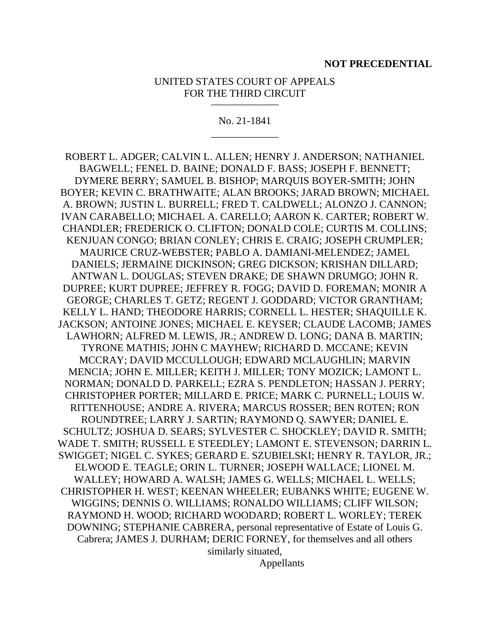### UNITED STATES COURT OF APPEALS FOR THE THIRD CIRCUIT  $\frac{1}{2}$

No. 21-1841 \_\_\_\_\_\_\_\_\_\_\_\_\_

ROBERT L. ADGER; CALVIN L. ALLEN; HENRY J. ANDERSON; NATHANIEL BAGWELL; FENEL D. BAINE; DONALD F. BASS; JOSEPH F. BENNETT; DYMERE BERRY; SAMUEL B. BISHOP; MARQUIS BOYER-SMITH; JOHN BOYER; KEVIN C. BRATHWAITE; ALAN BROOKS; JARAD BROWN; MICHAEL A. BROWN; JUSTIN L. BURRELL; FRED T. CALDWELL; ALONZO J. CANNON; IVAN CARABELLO; MICHAEL A. CARELLO; AARON K. CARTER; ROBERT W. CHANDLER; FREDERICK O. CLIFTON; DONALD COLE; CURTIS M. COLLINS; KENJUAN CONGO; BRIAN CONLEY; CHRIS E. CRAIG; JOSEPH CRUMPLER; MAURICE CRUZ-WEBSTER; PABLO A. DAMIANI-MELENDEZ; JAMEL DANIELS; JERMAINE DICKINSON; GREG DICKSON; KRISHAN DILLARD; ANTWAN L. DOUGLAS; STEVEN DRAKE; DE SHAWN DRUMGO; JOHN R. DUPREE; KURT DUPREE; JEFFREY R. FOGG; DAVID D. FOREMAN; MONIR A GEORGE; CHARLES T. GETZ; REGENT J. GODDARD; VICTOR GRANTHAM; KELLY L. HAND; THEODORE HARRIS; CORNELL L. HESTER; SHAQUILLE K. JACKSON; ANTOINE JONES; MICHAEL E. KEYSER; CLAUDE LACOMB; JAMES LAWHORN; ALFRED M. LEWIS, JR.; ANDREW D. LONG; DANA B. MARTIN; TYRONE MATHIS; JOHN C MAYHEW; RICHARD D. MCCANE; KEVIN MCCRAY; DAVID MCCULLOUGH; EDWARD MCLAUGHLIN; MARVIN MENCIA; JOHN E. MILLER; KEITH J. MILLER; TONY MOZICK; LAMONT L. NORMAN; DONALD D. PARKELL; EZRA S. PENDLETON; HASSAN J. PERRY; CHRISTOPHER PORTER; MILLARD E. PRICE; MARK C. PURNELL; LOUIS W. RITTENHOUSE; ANDRE A. RIVERA; MARCUS ROSSER; BEN ROTEN; RON ROUNDTREE; LARRY J. SARTIN; RAYMOND Q. SAWYER; DANIEL E. SCHULTZ; JOSHUA D. SEARS; SYLVESTER C. SHOCKLEY; DAVID R. SMITH; WADE T. SMITH; RUSSELL E STEEDLEY; LAMONT E. STEVENSON; DARRIN L. SWIGGET; NIGEL C. SYKES; GERARD E. SZUBIELSKI; HENRY R. TAYLOR, JR.; ELWOOD E. TEAGLE; ORIN L. TURNER; JOSEPH WALLACE; LIONEL M. WALLEY; HOWARD A. WALSH; JAMES G. WELLS; MICHAEL L. WELLS; CHRISTOPHER H. WEST; KEENAN WHEELER; EUBANKS WHITE; EUGENE W. WIGGINS; DENNIS O. WILLIAMS; RONALDO WILLIAMS; CLIFF WILSON; RAYMOND H. WOOD; RICHARD WOODARD; ROBERT L. WORLEY; TEREK DOWNING; STEPHANIE CABRERA, personal representative of Estate of Louis G. Cabrera; JAMES J. DURHAM; DERIC FORNEY, for themselves and all others similarly situated, Appellants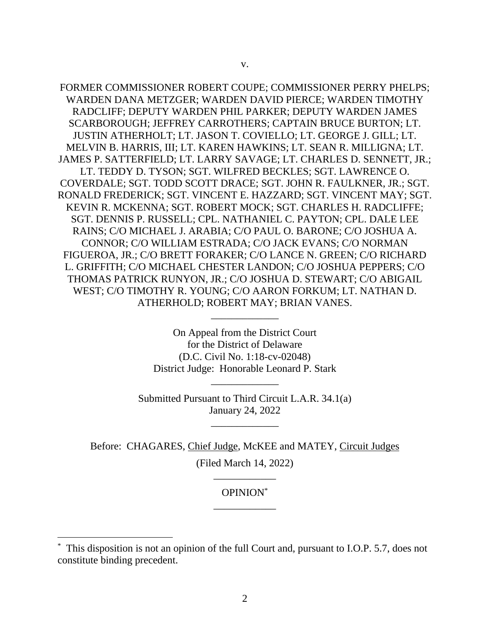FORMER COMMISSIONER ROBERT COUPE; COMMISSIONER PERRY PHELPS; WARDEN DANA METZGER; WARDEN DAVID PIERCE; WARDEN TIMOTHY RADCLIFF; DEPUTY WARDEN PHIL PARKER; DEPUTY WARDEN JAMES SCARBOROUGH; JEFFREY CARROTHERS; CAPTAIN BRUCE BURTON; LT. JUSTIN ATHERHOLT; LT. JASON T. COVIELLO; LT. GEORGE J. GILL; LT. MELVIN B. HARRIS, III; LT. KAREN HAWKINS; LT. SEAN R. MILLIGNA; LT. JAMES P. SATTERFIELD; LT. LARRY SAVAGE; LT. CHARLES D. SENNETT, JR.; LT. TEDDY D. TYSON; SGT. WILFRED BECKLES; SGT. LAWRENCE O. COVERDALE; SGT. TODD SCOTT DRACE; SGT. JOHN R. FAULKNER, JR.; SGT. RONALD FREDERICK; SGT. VINCENT E. HAZZARD; SGT. VINCENT MAY; SGT. KEVIN R. MCKENNA; SGT. ROBERT MOCK; SGT. CHARLES H. RADCLIFFE; SGT. DENNIS P. RUSSELL; CPL. NATHANIEL C. PAYTON; CPL. DALE LEE RAINS; C/O MICHAEL J. ARABIA; C/O PAUL O. BARONE; C/O JOSHUA A. CONNOR; C/O WILLIAM ESTRADA; C/O JACK EVANS; C/O NORMAN FIGUEROA, JR.; C/O BRETT FORAKER; C/O LANCE N. GREEN; C/O RICHARD L. GRIFFITH; C/O MICHAEL CHESTER LANDON; C/O JOSHUA PEPPERS; C/O THOMAS PATRICK RUNYON, JR.; C/O JOSHUA D. STEWART; C/O ABIGAIL WEST; C/O TIMOTHY R. YOUNG; C/O AARON FORKUM; LT. NATHAN D. ATHERHOLD; ROBERT MAY; BRIAN VANES.

> On Appeal from the District Court for the District of Delaware (D.C. Civil No. 1:18-cv-02048) District Judge: Honorable Leonard P. Stark

\_\_\_\_\_\_\_\_\_\_\_\_\_

Submitted Pursuant to Third Circuit L.A.R. 34.1(a) January 24, 2022

\_\_\_\_\_\_\_\_\_\_\_\_\_

\_\_\_\_\_\_\_\_\_\_\_\_\_

Before: CHAGARES, Chief Judge, McKEE and MATEY, Circuit Judges (Filed March 14, 2022)

# OPINION\* \_\_\_\_\_\_\_\_\_\_\_\_

\_\_\_\_\_\_\_\_\_\_\_\_

<sup>\*</sup> This disposition is not an opinion of the full Court and, pursuant to I.O.P. 5.7, does not constitute binding precedent.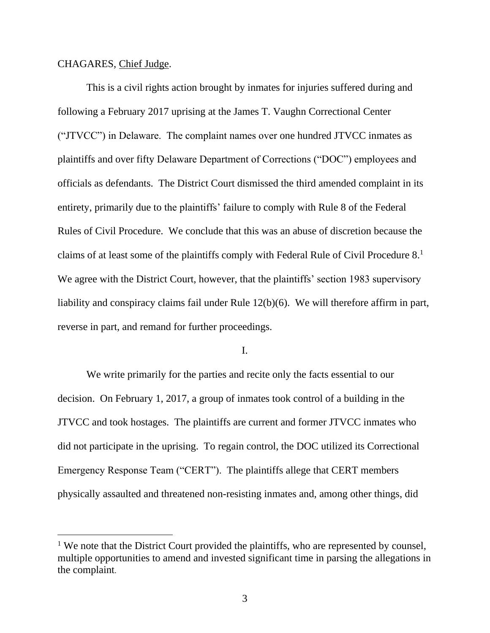# CHAGARES, Chief Judge.

This is a civil rights action brought by inmates for injuries suffered during and following a February 2017 uprising at the James T. Vaughn Correctional Center ("JTVCC") in Delaware. The complaint names over one hundred JTVCC inmates as plaintiffs and over fifty Delaware Department of Corrections ("DOC") employees and officials as defendants. The District Court dismissed the third amended complaint in its entirety, primarily due to the plaintiffs' failure to comply with Rule 8 of the Federal Rules of Civil Procedure. We conclude that this was an abuse of discretion because the claims of at least some of the plaintiffs comply with Federal Rule of Civil Procedure 8. 1 We agree with the District Court, however, that the plaintiffs' section 1983 supervisory liability and conspiracy claims fail under Rule 12(b)(6). We will therefore affirm in part, reverse in part, and remand for further proceedings.

## I.

We write primarily for the parties and recite only the facts essential to our decision. On February 1, 2017, a group of inmates took control of a building in the JTVCC and took hostages. The plaintiffs are current and former JTVCC inmates who did not participate in the uprising. To regain control, the DOC utilized its Correctional Emergency Response Team ("CERT"). The plaintiffs allege that CERT members physically assaulted and threatened non-resisting inmates and, among other things, did

<sup>&</sup>lt;sup>1</sup> We note that the District Court provided the plaintiffs, who are represented by counsel, multiple opportunities to amend and invested significant time in parsing the allegations in the complaint.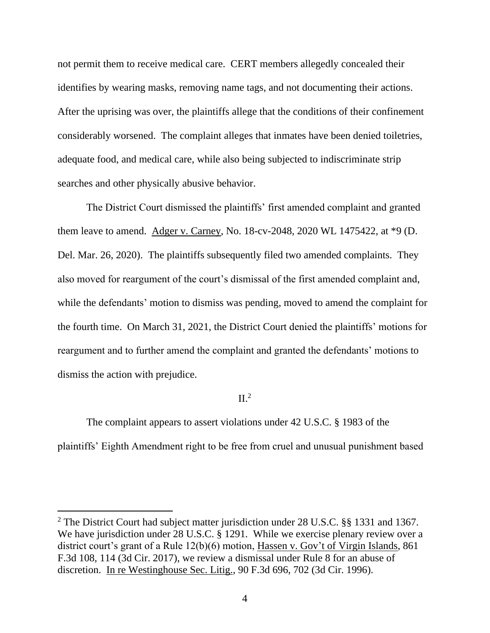not permit them to receive medical care. CERT members allegedly concealed their identifies by wearing masks, removing name tags, and not documenting their actions. After the uprising was over, the plaintiffs allege that the conditions of their confinement considerably worsened. The complaint alleges that inmates have been denied toiletries, adequate food, and medical care, while also being subjected to indiscriminate strip searches and other physically abusive behavior.

The District Court dismissed the plaintiffs' first amended complaint and granted them leave to amend. Adger v. Carney, No. 18-cv-2048, 2020 WL 1475422, at \*9 (D. Del. Mar. 26, 2020). The plaintiffs subsequently filed two amended complaints. They also moved for reargument of the court's dismissal of the first amended complaint and, while the defendants' motion to dismiss was pending, moved to amend the complaint for the fourth time. On March 31, 2021, the District Court denied the plaintiffs' motions for reargument and to further amend the complaint and granted the defendants' motions to dismiss the action with prejudice.

# $\mathop{\mathrm{II}.^2}$

The complaint appears to assert violations under 42 U.S.C. § 1983 of the plaintiffs' Eighth Amendment right to be free from cruel and unusual punishment based

<sup>&</sup>lt;sup>2</sup> The District Court had subject matter jurisdiction under 28 U.S.C. §§ 1331 and 1367. We have jurisdiction under 28 U.S.C. § 1291. While we exercise plenary review over a district court's grant of a Rule 12(b)(6) motion, Hassen v. Gov't of Virgin Islands, 861 F.3d 108, 114 (3d Cir. 2017), we review a dismissal under Rule 8 for an abuse of discretion. In re Westinghouse Sec. Litig., 90 F.3d 696, 702 (3d Cir. 1996).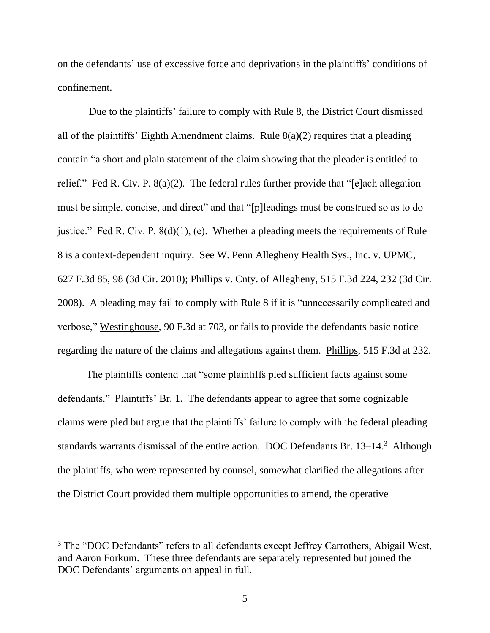on the defendants' use of excessive force and deprivations in the plaintiffs' conditions of confinement.

Due to the plaintiffs' failure to comply with Rule 8, the District Court dismissed all of the plaintiffs' Eighth Amendment claims. Rule 8(a)(2) requires that a pleading contain "a short and plain statement of the claim showing that the pleader is entitled to relief." Fed R. Civ. P. 8(a)(2). The federal rules further provide that "[e]ach allegation must be simple, concise, and direct" and that "[p]leadings must be construed so as to do justice." Fed R. Civ. P. 8(d)(1), (e). Whether a pleading meets the requirements of Rule 8 is a context-dependent inquiry. See W. Penn Allegheny Health Sys., Inc. v. UPMC, 627 F.3d 85, 98 (3d Cir. 2010); Phillips v. Cnty. of Allegheny, 515 F.3d 224, 232 (3d Cir. 2008). A pleading may fail to comply with Rule 8 if it is "unnecessarily complicated and verbose," Westinghouse, 90 F.3d at 703, or fails to provide the defendants basic notice regarding the nature of the claims and allegations against them. Phillips, 515 F.3d at 232.

The plaintiffs contend that "some plaintiffs pled sufficient facts against some defendants." Plaintiffs' Br. 1. The defendants appear to agree that some cognizable claims were pled but argue that the plaintiffs' failure to comply with the federal pleading standards warrants dismissal of the entire action. DOC Defendants Br. 13–14.<sup>3</sup> Although the plaintiffs, who were represented by counsel, somewhat clarified the allegations after the District Court provided them multiple opportunities to amend, the operative

<sup>&</sup>lt;sup>3</sup> The "DOC Defendants" refers to all defendants except Jeffrey Carrothers, Abigail West, and Aaron Forkum. These three defendants are separately represented but joined the DOC Defendants' arguments on appeal in full.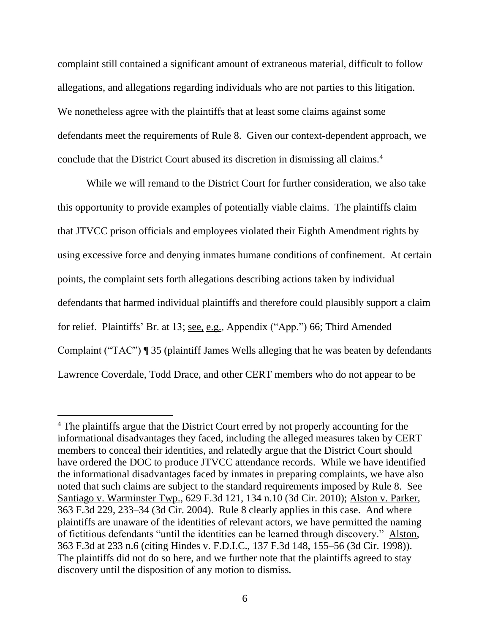complaint still contained a significant amount of extraneous material, difficult to follow allegations, and allegations regarding individuals who are not parties to this litigation. We nonetheless agree with the plaintiffs that at least some claims against some defendants meet the requirements of Rule 8. Given our context-dependent approach, we conclude that the District Court abused its discretion in dismissing all claims.<sup>4</sup>

While we will remand to the District Court for further consideration, we also take this opportunity to provide examples of potentially viable claims. The plaintiffs claim that JTVCC prison officials and employees violated their Eighth Amendment rights by using excessive force and denying inmates humane conditions of confinement. At certain points, the complaint sets forth allegations describing actions taken by individual defendants that harmed individual plaintiffs and therefore could plausibly support a claim for relief. Plaintiffs' Br. at 13; see, e.g., Appendix ("App.") 66; Third Amended Complaint ("TAC") ¶ 35 (plaintiff James Wells alleging that he was beaten by defendants Lawrence Coverdale, Todd Drace, and other CERT members who do not appear to be

<sup>&</sup>lt;sup>4</sup> The plaintiffs argue that the District Court erred by not properly accounting for the informational disadvantages they faced, including the alleged measures taken by CERT members to conceal their identities, and relatedly argue that the District Court should have ordered the DOC to produce JTVCC attendance records. While we have identified the informational disadvantages faced by inmates in preparing complaints, we have also noted that such claims are subject to the standard requirements imposed by Rule 8. See Santiago v. Warminster Twp., 629 F.3d 121, 134 n.10 (3d Cir. 2010); Alston v. Parker, 363 F.3d 229, 233–34 (3d Cir. 2004). Rule 8 clearly applies in this case. And where plaintiffs are unaware of the identities of relevant actors, we have permitted the naming of fictitious defendants "until the identities can be learned through discovery." Alston, 363 F.3d at 233 n.6 (citing Hindes v. F.D.I.C., 137 F.3d 148, 155–56 (3d Cir. 1998)). The plaintiffs did not do so here, and we further note that the plaintiffs agreed to stay discovery until the disposition of any motion to dismiss.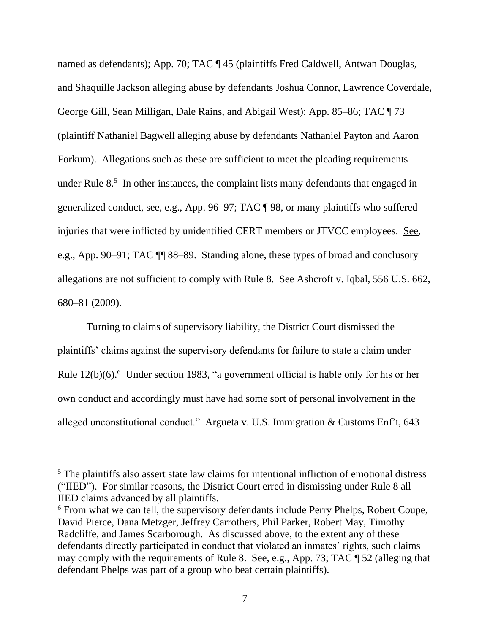named as defendants); App. 70; TAC ¶ 45 (plaintiffs Fred Caldwell, Antwan Douglas, and Shaquille Jackson alleging abuse by defendants Joshua Connor, Lawrence Coverdale, George Gill, Sean Milligan, Dale Rains, and Abigail West); App. 85–86; TAC ¶ 73 (plaintiff Nathaniel Bagwell alleging abuse by defendants Nathaniel Payton and Aaron Forkum). Allegations such as these are sufficient to meet the pleading requirements under Rule 8.<sup>5</sup> In other instances, the complaint lists many defendants that engaged in generalized conduct, see, e.g., App. 96–97; TAC ¶ 98, or many plaintiffs who suffered injuries that were inflicted by unidentified CERT members or JTVCC employees. See, e.g., App. 90–91; TAC ¶¶ 88–89. Standing alone, these types of broad and conclusory allegations are not sufficient to comply with Rule 8. See Ashcroft v. Iqbal, 556 U.S. 662, 680–81 (2009).

Turning to claims of supervisory liability, the District Court dismissed the plaintiffs' claims against the supervisory defendants for failure to state a claim under Rule 12(b)(6).<sup>6</sup> Under section 1983, "a government official is liable only for his or her own conduct and accordingly must have had some sort of personal involvement in the alleged unconstitutional conduct." Argueta v. U.S. Immigration & Customs Enf't, 643

<sup>5</sup> The plaintiffs also assert state law claims for intentional infliction of emotional distress ("IIED"). For similar reasons, the District Court erred in dismissing under Rule 8 all IIED claims advanced by all plaintiffs.

<sup>&</sup>lt;sup>6</sup> From what we can tell, the supervisory defendants include Perry Phelps, Robert Coupe, David Pierce, Dana Metzger, Jeffrey Carrothers, Phil Parker, Robert May, Timothy Radcliffe, and James Scarborough. As discussed above, to the extent any of these defendants directly participated in conduct that violated an inmates' rights, such claims may comply with the requirements of Rule 8. See, e.g., App. 73; TAC ¶ 52 (alleging that defendant Phelps was part of a group who beat certain plaintiffs).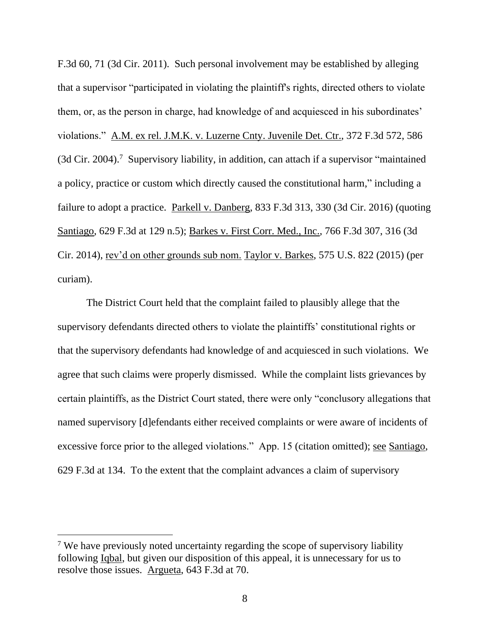F.3d 60, 71 (3d Cir. 2011). Such personal involvement may be established by alleging that a supervisor "participated in violating the plaintiff's rights, directed others to violate them, or, as the person in charge, had knowledge of and acquiesced in his subordinates' violations." A.M. ex rel. J.M.K. v. Luzerne Cnty. Juvenile Det. Ctr., 372 F.3d 572, 586 (3d Cir. 2004).<sup>7</sup> Supervisory liability, in addition, can attach if a supervisor "maintained a policy, practice or custom which directly caused the constitutional harm," including a failure to adopt a practice. Parkell v. Danberg, 833 F.3d 313, 330 (3d Cir. 2016) (quoting Santiago, 629 F.3d at 129 n.5); Barkes v. First Corr. Med., Inc., 766 F.3d 307, 316 (3d Cir. 2014), rev'd on other grounds sub nom. Taylor v. Barkes, 575 U.S. 822 (2015) (per curiam).

The District Court held that the complaint failed to plausibly allege that the supervisory defendants directed others to violate the plaintiffs' constitutional rights or that the supervisory defendants had knowledge of and acquiesced in such violations. We agree that such claims were properly dismissed. While the complaint lists grievances by certain plaintiffs, as the District Court stated, there were only "conclusory allegations that named supervisory [d]efendants either received complaints or were aware of incidents of excessive force prior to the alleged violations." App. 15 (citation omitted); see Santiago, 629 F.3d at 134. To the extent that the complaint advances a claim of supervisory

<sup>&</sup>lt;sup>7</sup> We have previously noted uncertainty regarding the scope of supervisory liability following Iqbal, but given our disposition of this appeal, it is unnecessary for us to resolve those issues. Argueta, 643 F.3d at 70.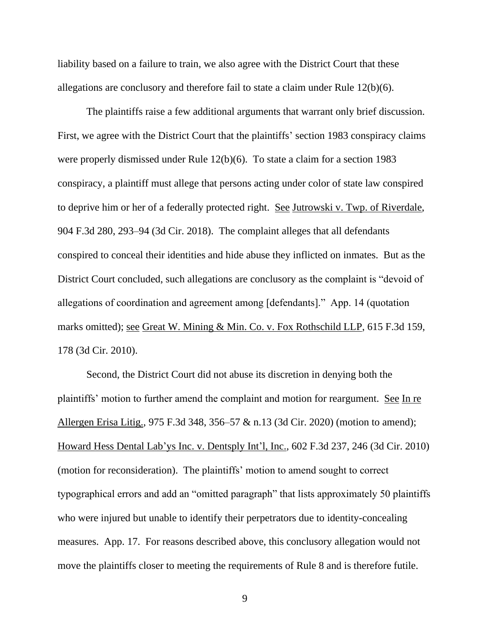liability based on a failure to train, we also agree with the District Court that these allegations are conclusory and therefore fail to state a claim under Rule 12(b)(6).

The plaintiffs raise a few additional arguments that warrant only brief discussion. First, we agree with the District Court that the plaintiffs' section 1983 conspiracy claims were properly dismissed under Rule 12(b)(6). To state a claim for a section 1983 conspiracy, a plaintiff must allege that persons acting under color of state law conspired to deprive him or her of a federally protected right. See Jutrowski v. Twp. of Riverdale, 904 F.3d 280, 293–94 (3d Cir. 2018). The complaint alleges that all defendants conspired to conceal their identities and hide abuse they inflicted on inmates. But as the District Court concluded, such allegations are conclusory as the complaint is "devoid of allegations of coordination and agreement among [defendants]." App. 14 (quotation marks omitted); <u>see Great W. Mining & Min. Co. v. Fox Rothschild LLP</u>, 615 F.3d 159, 178 (3d Cir. 2010).

Second, the District Court did not abuse its discretion in denying both the plaintiffs' motion to further amend the complaint and motion for reargument. See In re Allergen Erisa Litig., 975 F.3d 348, 356–57 & n.13 (3d Cir. 2020) (motion to amend); Howard Hess Dental Lab'ys Inc. v. Dentsply Int'l, Inc., 602 F.3d 237, 246 (3d Cir. 2010) (motion for reconsideration). The plaintiffs' motion to amend sought to correct typographical errors and add an "omitted paragraph" that lists approximately 50 plaintiffs who were injured but unable to identify their perpetrators due to identity-concealing measures. App. 17. For reasons described above, this conclusory allegation would not move the plaintiffs closer to meeting the requirements of Rule 8 and is therefore futile.

9